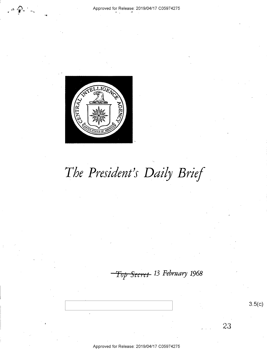

# The President's Daily Brief

Top <del>Secret</del> 13 February 1968

Approved for Release: 2019/04/17 C05974275

 $3.5(c)$ 

23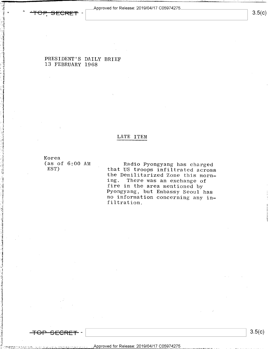Approved for Release: 2019/04/17 C05974275



 $3.5(c)$ 

PRESIDENT'S DAILY BRIEF 13 FEBRUARY 1968

### LATE ITEM

Korea  $(as of 6:00 AM)$ EST)

Radio Pyongyang has charged that US troops infiltrated across the Demilitarized Zone this morning. There was an exchange of fire in the area mentioned by Pyongyang, but Embassy Seoul has no information concerning any infiltration.

 $3.5(c)$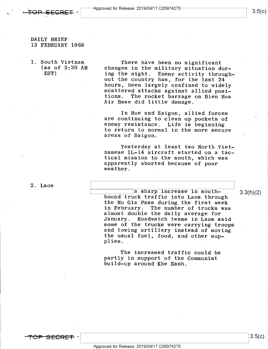DAILY BRIEF 13 FEBRUARY 1968

-

1. South Vietnam There have been no significant<br>(as of 5:30 AM changes in the military situation do (as of 5:30 AM changes in the military situation during the night. Enemy activity throughout the country has, for the last 24<br>hours, been largely confined to widely scattered attacks against allied posi-<br>tions. The rocket barrage on Bien Hoa tions. The rocket barrage on Bien Hoa Air Base did little damage.

> In Hue and Saigon, allied forces are continuing to clean up pockets of enemy resistance. Life is beginning to return to normal in the more secure areas of Saigon.

Yesterday at least two North Viet-<br>namese IL-14 aircraft started on a tac-<br>tical mission to the south, which was apparently aborted because of poor weather.

2. Laos  $\qquad \qquad$ 

a sharp increase in south-<br>bound truck traffic into Laos through<br> the Mu Gia Pass during the first week<br>in February. The number of trucks was almost double the daily average for<br>January. Roadwatch teams in Laos sa January. Roadwatch teams in Laos said ' and towing artillery instead of moving the usual fuel, food, and other supplies.

The increased traffic could be<br>partly in support of the Communist build-up around Khe Sanh.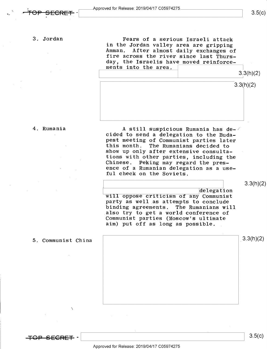### 3. Jordan

. <del>TOP SLCKET</del> 1

Fears of a serious Israeli attack<br>in the Jordan valley area are gripping Amman. After almost daily exchanges of fire across the river since last Thursday, the Israelis have moved reinforce-<br>ments into the area.  $\begin{bmatrix} 3.3(h)/2 \end{bmatrix}$ 

 $3.5(c)$ 

|  | 0.0(17)   |
|--|-----------|
|  | 3.3(h)(2) |
|  |           |
|  |           |
|  |           |

### 4. Rumania

A still suspicious Rumania has de-<br>cided to send a delegation to the Buda-<br>pest meeting of Communist parties later this month. The Rumanians decided to show up only after extensive consultations with other parties, including the Chinese. Peking may regard the presence of a Rumanian delegation as a useful check on the Soviets.

3.3(h)(2)

delegation<br>will oppose criticism of any Communist<br>party as well as attempts to conclude binding agreements. The Rumanians will also try to get a world conference of Communist parties (Moscow's ultimate aim) put off as long as possible.

5. Communist China

 $3.3(h)(2)$ 

 $\mathcal{F}$ 

 $\begin{bmatrix} 3.5(C) \end{bmatrix}$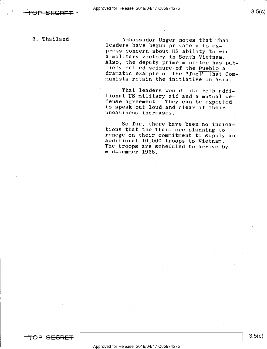.

6. Thailand Ambassador Unger notes that Thai<br>leaders have begun privately to ex-<br>press concern about US ability to win<br>a military victory in South Vietnam. Also, the deputy prime minister has pub-<br>licly called seizure of the Pueblo a<br>dramatic example of the "fact" that Com-<br>munists retain the initiative in Asia.

> Thai leaders would like both addi- tional US military aid and a mutual de- fense agreement. They can be expected to speak out loud and clear if their uneasiness increases.

> So far, there have been no indica-<br>tions that the Thais are planning to<br>renege on their commitment to supply an<br>additional 10,000 troops to Vietnam.<br>The troops are scheduled to arrive by<br>mid-summer 1968.



#### Approved for Release: 2019/O4/17 CO5974275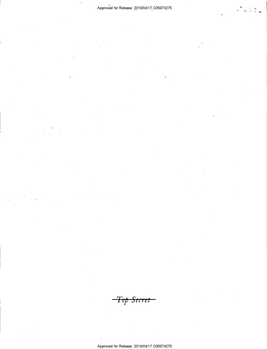<del>Top Secret</del>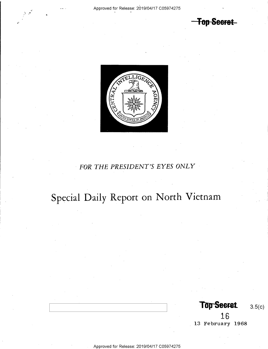<del>Top Secret</del>



### FOR THE PRESIDENT'S EYES ONLY

# Special Daily Report on North Vietnam

Top Secret 3.5(c)

16 13 February 1968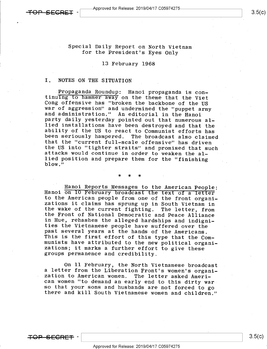## Special Daily Report on North Vietnam<br>for the President's Eyes Only

### l3 February 1968

### I. NOTES ON THE SITUATION

Propaganda Roundup: Hanoi propaganda is con-<br>tinuing to hammer away on the theme that the Viet<br>Cong offensive has "broken the backbone of the US<br>war of aggression" and undermined the "puppet army<br>and administration." An ed

### >l< \* \*

Hanoi Reports Messages to the American People:<br>Hanoi on 10 February broadcast the text of a letter<br>to the American people from one of the front organi-<br>zations it claims has sprung up in South Vietnam in<br>the wake of the cu

On ll February, the North Vietnamese broadcast a letter from the Liberation Front's women's organi-<br>zation to American women. The letter asked Ameri-<br>can women "to demand an early end to this dirty war<br>so that your sons and husbands are not forced to go<br>there and kill

<del>IOP SECRET</del>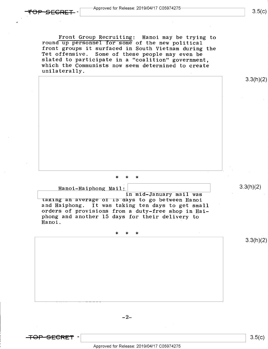Front Group Recruiting: Hanoi may be trying to round up personnel for some of the new political front groups it surfaced in South Vietnam during the Tet offensive. Some of these people may even be slated to participate in a "coalition" government,<br>which the Communists now seem determined to create unilaterally.

\* \* \*

Hanoi-Haiphong Mail:  $3.3(h)(2)$ 

in mid-January mail was<br>taking an average of ib days to go between Hanoi and Haiphong. It was taking ten days to get small orders of provisions from a duty-free shop in Hai-<br>phong and another 15 days for their delivery to<br>Hanoi. Hanoi. <sup>V</sup>

\* \* \*

 $-2-$ 

<del>-TOP SECRET</del> -

Approved for Release: 2019/O4/17 CO5974275

 $\frac{1}{8}$   $\frac{3.5(k)}{k}$ 

3.3(h)(2)

3.3(h)(2)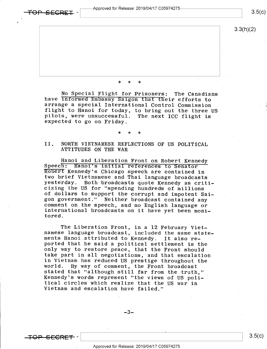Approved for Release: 2019/O4/17 CO5974275



 $3.5(c)$ 

3.3(h)(2)

### \* \* \*

No Special Flight for Prisoners: The Canadians<br>have informed Embassy Saigon that their efforts to<br>arrange a special International Control Commission<br>flight to Hanoi for today, to bring out the three US<br>pilots, were unsucce

### \* \* \*

II. NORTH VIETNAMESE REFLECTIONS OF US POLITICAL ATTITUDES ON THE WAR

Hanoi and Liberation Front on Robert Kennedy<br>Speech: Hanoi's initial references to Senator<br>Robert Kennedy's Chicago speech are contained in two brief Vietnamese and Thai language broadcasts<br>yesterday. Both broadcasts quote Kennedy as criti-<br>cizing the US for "spending hundreds of millions<br>of dollars to support the corrupt and impotent Sai-<br>gon government." Nei

The Liberation Front, in a 12 February Viet-<br>namese language broadcast, included the same state-<br>ments Hanoi attributed to Kennedy. It also re-<br>ported that he said a political settlement is the<br>only way to restore peace, t take part in all negotiations, and that escalation<br>in Vietnam has reduced US prestige throughout the<br>world. By way of comment, the Front broadcast<br>stated that "although still far from the truth,"<br>Kennedy's words represent tical circles which realize that the US war in-Vietnam and escalation have failed."

 $-3-$ 

 $\overline{r}$